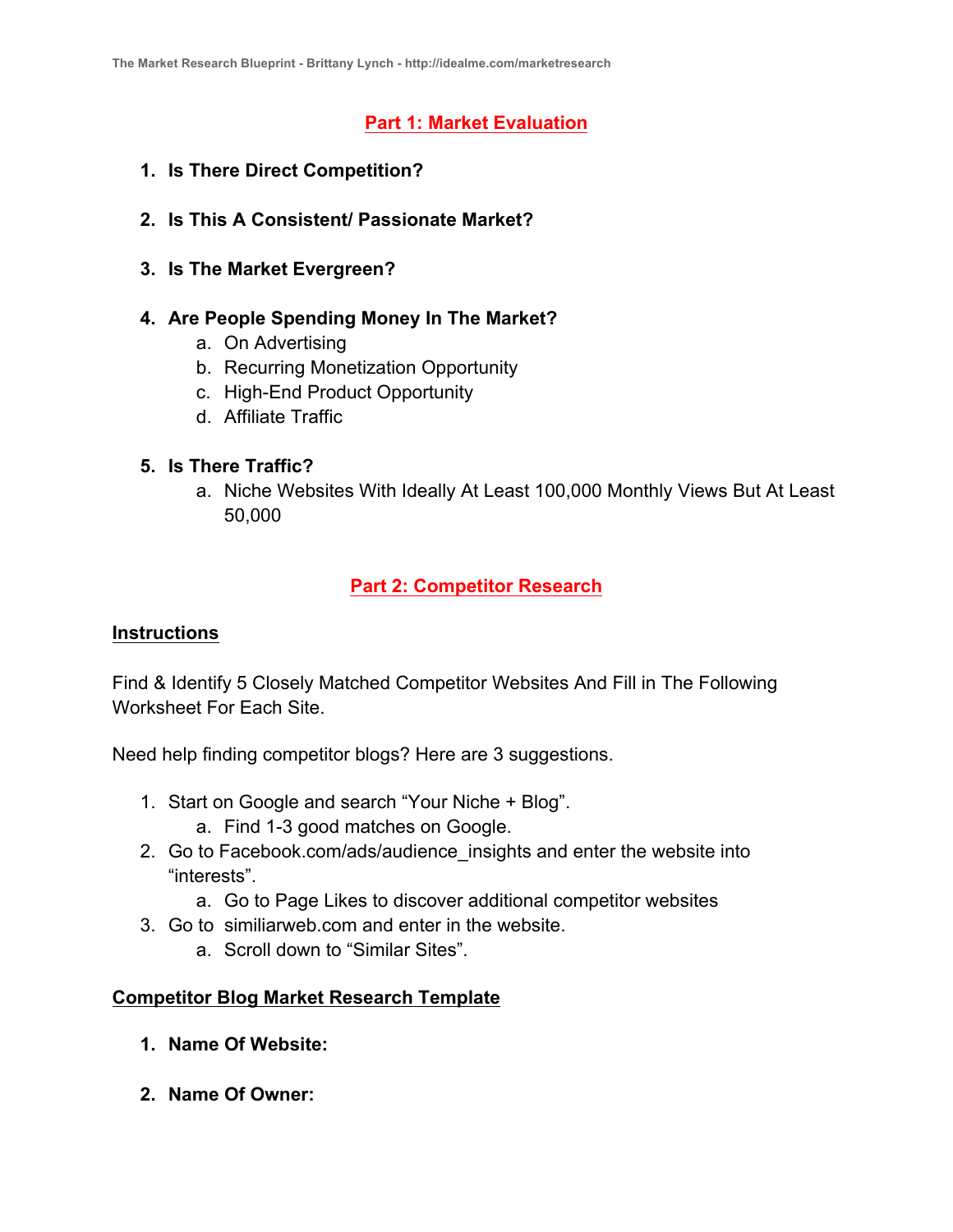# **Part 1: Market Evaluation**

- **1. Is There Direct Competition?**
- **2. Is This A Consistent/ Passionate Market?**
- **3. Is The Market Evergreen?**

### **4. Are People Spending Money In The Market?**

- a. On Advertising
- b. Recurring Monetization Opportunity
- c. High-End Product Opportunity
- d. Affiliate Traffic

#### **5. Is There Traffic?**

a. Niche Websites With Ideally At Least 100,000 Monthly Views But At Least 50,000

# **Part 2: Competitor Research**

#### **Instructions**

Find & Identify 5 Closely Matched Competitor Websites And Fill in The Following Worksheet For Each Site.

Need help finding competitor blogs? Here are 3 suggestions.

- 1. Start on Google and search "Your Niche + Blog".
	- a. Find 1-3 good matches on Google.
- 2. Go to Facebook.com/ads/audience insights and enter the website into "interests".
	- a. Go to Page Likes to discover additional competitor websites
- 3. Go to similiarweb.com and enter in the website.
	- a. Scroll down to "Similar Sites".

## **Competitor Blog Market Research Template**

- **1. Name Of Website:**
- **2. Name Of Owner:**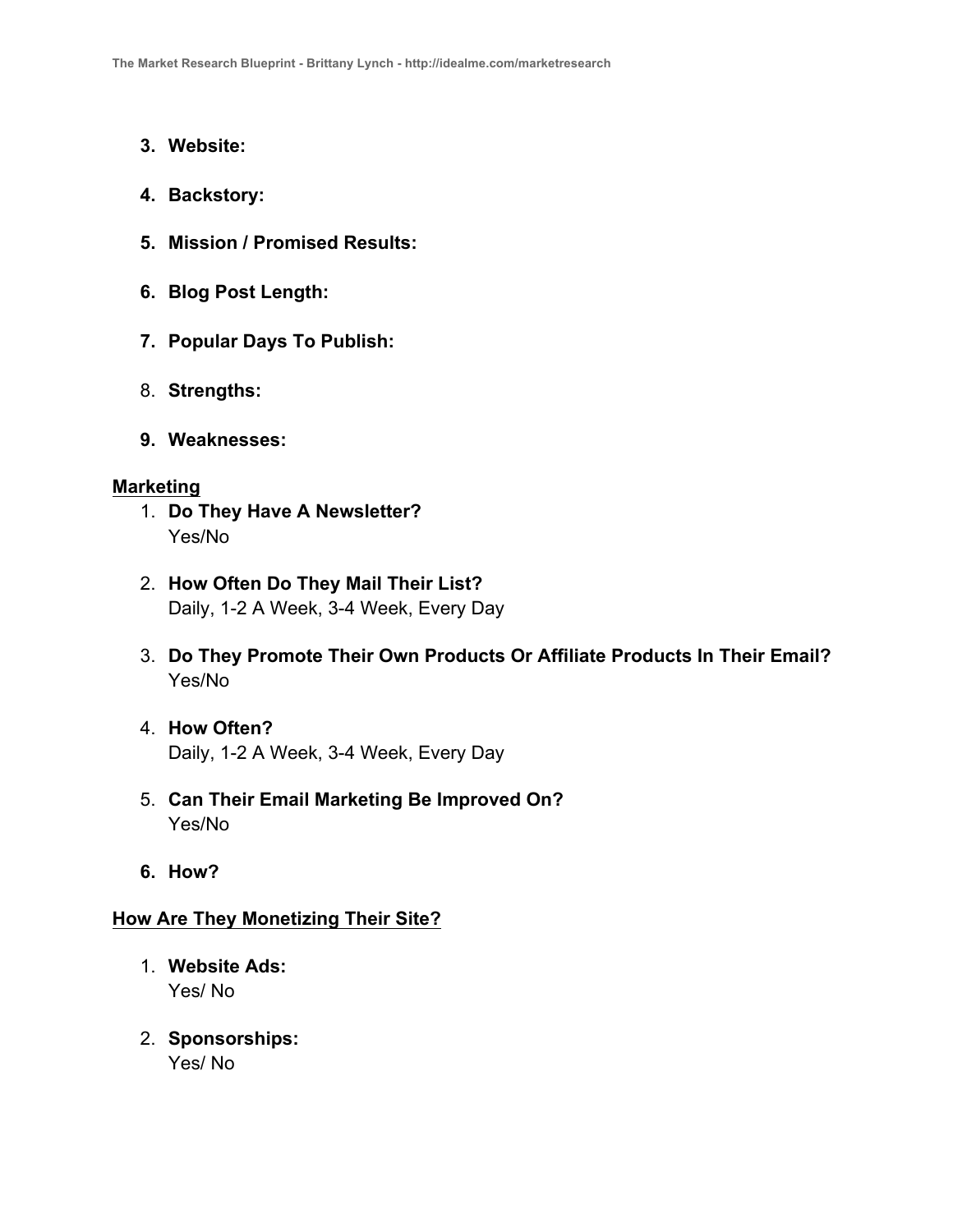- **3. Website:**
- **4. Backstory:**
- **5. Mission / Promised Results:**
- **6. Blog Post Length:**
- **7. Popular Days To Publish:**
- 8. **Strengths:**
- **9. Weaknesses:**

#### **Marketing**

- 1. **Do They Have A Newsletter?**  Yes/No
- 2. **How Often Do They Mail Their List?** Daily, 1-2 A Week, 3-4 Week, Every Day
- 3. **Do They Promote Their Own Products Or Affiliate Products In Their Email?**  Yes/No
- 4. **How Often?** Daily, 1-2 A Week, 3-4 Week, Every Day
- 5. **Can Their Email Marketing Be Improved On?**  Yes/No
- **6. How?**

#### **How Are They Monetizing Their Site?**

- 1. **Website Ads:**  Yes/ No
- 2. **Sponsorships:**  Yes/ No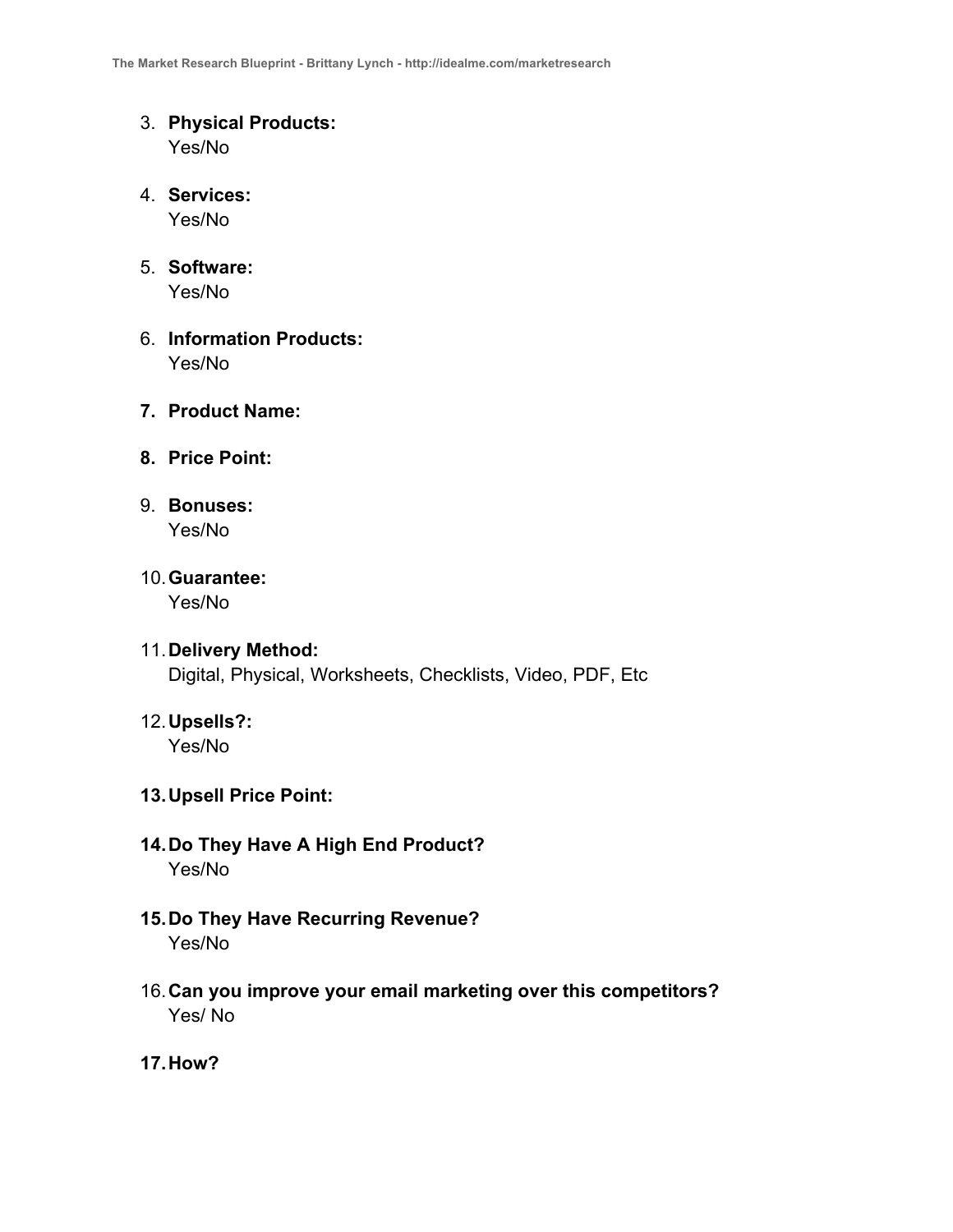- 3. **Physical Products:**  Yes/No
- 4. **Services:**  Yes/No
- 5. **Software:**  Yes/No
- 6. **Information Products:**  Yes/No
- **7. Product Name:**
- **8. Price Point:**
- 9. **Bonuses:**  Yes/No
- 10.**Guarantee:**  Yes/No
- 11.**Delivery Method:**  Digital, Physical, Worksheets, Checklists, Video, PDF, Etc
- 12.**Upsells?:**  Yes/No

#### **13.Upsell Price Point:**

- **14.Do They Have A High End Product?** Yes/No
- **15.Do They Have Recurring Revenue?** Yes/No
- 16.**Can you improve your email marketing over this competitors?**  Yes/ No
- **17.How?**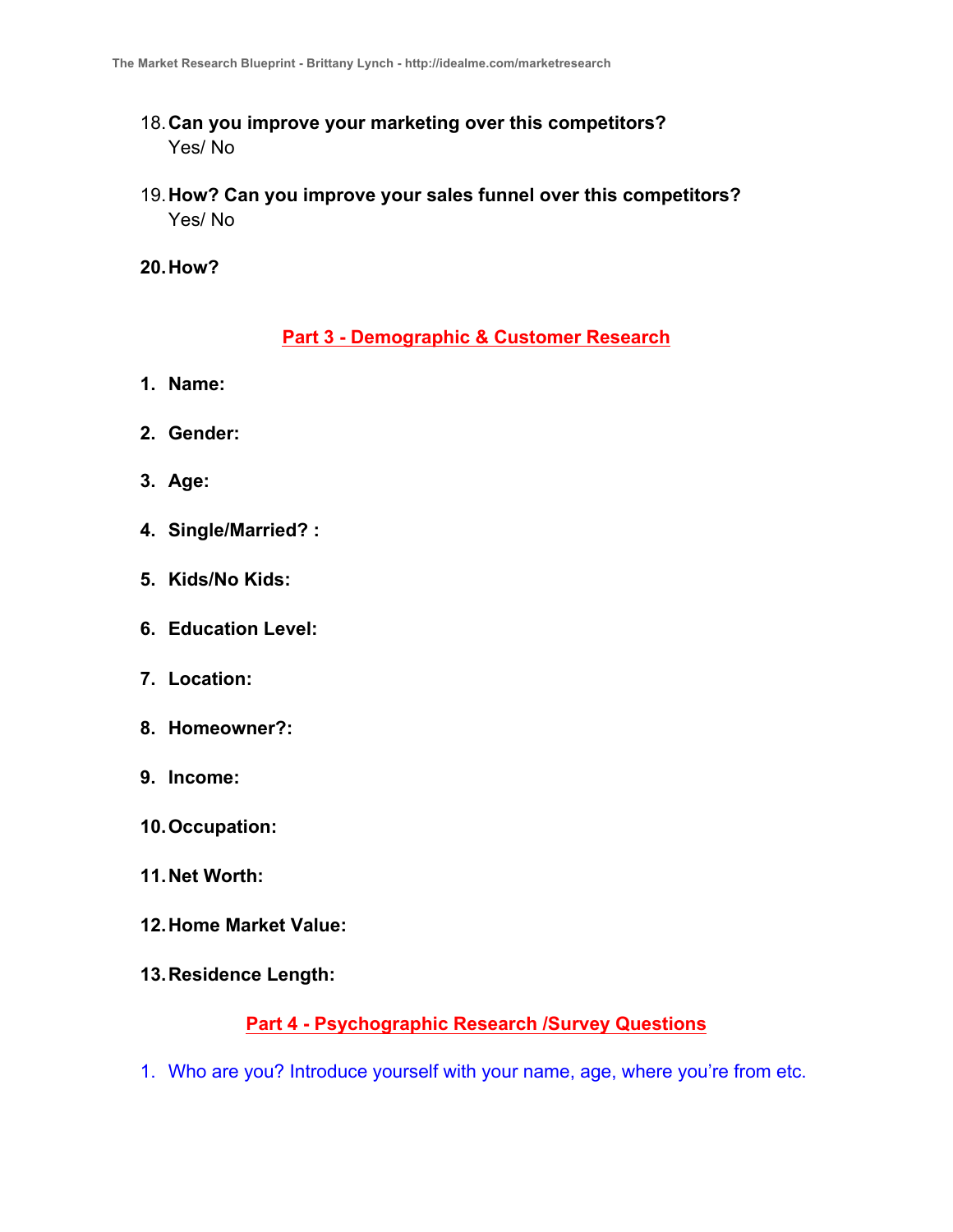- 18.**Can you improve your marketing over this competitors?**  Yes/ No
- 19.**How? Can you improve your sales funnel over this competitors?**  Yes/ No
- **20.How?**

## **Part 3 - Demographic & Customer Research**

- **1. Name:**
- **2. Gender:**
- **3. Age:**
- **4. Single/Married? :**
- **5. Kids/No Kids:**
- **6. Education Level:**
- **7. Location:**
- **8. Homeowner?:**
- **9. Income:**
- **10.Occupation:**
- **11.Net Worth:**
- **12.Home Market Value:**
- **13.Residence Length:**

## **Part 4 - Psychographic Research /Survey Questions**

1. Who are you? Introduce yourself with your name, age, where you're from etc.